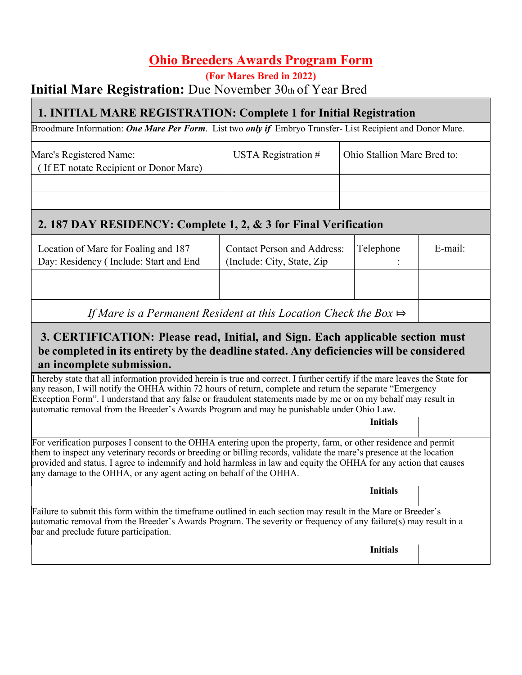# **Ohio Breeders Awards Program Form**

#### **(For Mares Bred in 2022) Initial Mare Registration:** Due November 30th of Year Bred

### **1. INITIAL MARE REGISTRATION: Complete 1 for Initial Registration**

Broodmare Information: *One Mare Per Form*. List two *only if* Embryo Transfer- List Recipient and Donor Mare.

| Mare's Registered Name:<br>(If ET notate Recipient or Donor Mare) | USTA Registration $#$ | Ohio Stallion Mare Bred to: |
|-------------------------------------------------------------------|-----------------------|-----------------------------|
|                                                                   |                       |                             |
|                                                                   |                       |                             |

### **2. 187 DAY RESIDENCY: Complete 1, 2, & 3 for Final Verification**

| Location of Mare for Foaling and 187<br>Day: Residency (Include: Start and End | <b>Contact Person and Address:</b><br>(Include: City, State, Zip) | Telephone | E-mail: |
|--------------------------------------------------------------------------------|-------------------------------------------------------------------|-----------|---------|
|                                                                                |                                                                   |           |         |
|                                                                                |                                                                   |           |         |

*If Mare is a Permanent Resident at this Location Check the Box*  $\Rightarrow$ 

#### **3. CERTIFICATION: Please read, Initial, and Sign. Each applicable section must be completed in its entirety by the deadline stated. Any deficiencies will be considered an incomplete submission.**

hereby state that all information provided herein is true and correct. I further certify if the mare leaves the State for any reason, I will notify the OHHA within 72 hours of return, complete and return the separate "Emergency Exception Form". I understand that any false or fraudulent statements made by me or on my behalf may result in automatic removal from the Breeder's Awards Program and may be punishable under Ohio Law.

**Initials**

For verification purposes I consent to the OHHA entering upon the property, farm, or other residence and permit them to inspect any veterinary records or breeding or billing records, validate the mare's presence at the location provided and status. I agree to indemnify and hold harmless in law and equity the OHHA for any action that causes any damage to the OHHA, or any agent acting on behalf of the OHHA.

**Initials**

Failure to submit this form within the timeframe outlined in each section may result in the Mare or Breeder's automatic removal from the Breeder's Awards Program. The severity or frequency of any failure(s) may result in a bar and preclude future participation.

**Initials**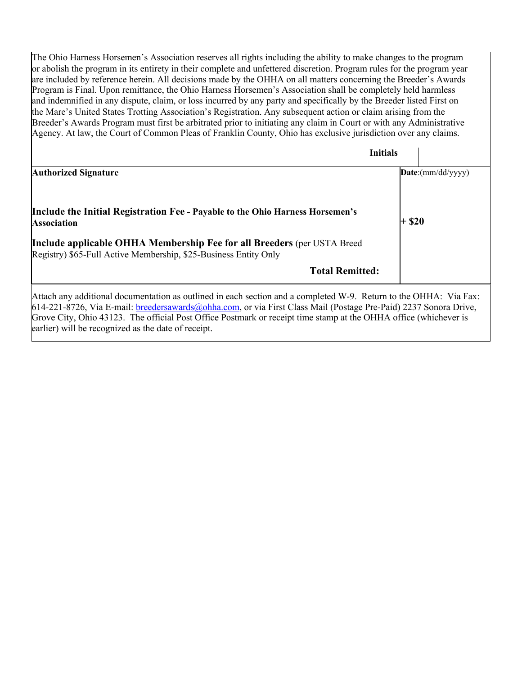The Ohio Harness Horsemen's Association reserves all rights including the ability to make changes to the program or abolish the program in its entirety in their complete and unfettered discretion. Program rules for the program year are included by reference herein. All decisions made by the OHHA on all matters concerning the Breeder's Awards Program is Final. Upon remittance, the Ohio Harness Horsemen's Association shall be completely held harmless and indemnified in any dispute, claim, or loss incurred by any party and specifically by the Breeder listed First on the Mare's United States Trotting Association's Registration. Any subsequent action or claim arising from the Breeder's Awards Program must first be arbitrated prior to initiating any claim in Court or with any Administrative Agency. At law, the Court of Common Pleas of Franklin County, Ohio has exclusive jurisdiction over any claims.

|                                                                                                                                                                                                                 | <b>Initials</b>                                                        |
|-----------------------------------------------------------------------------------------------------------------------------------------------------------------------------------------------------------------|------------------------------------------------------------------------|
| <b>Authorized Signature</b>                                                                                                                                                                                     | $\mathbf{Date:}(\text{mm}/\text{dd}/\text{y}\text{y}\text{y}\text{y})$ |
| Include the Initial Registration Fee - Payable to the Ohio Harness Horsemen's<br><b>Association</b>                                                                                                             | <b>\$20</b>                                                            |
| Include applicable OHHA Membership Fee for all Breeders (per USTA Breed<br>Registry) \$65-Full Active Membership, \$25-Business Entity Only                                                                     |                                                                        |
| <b>Total Remitted:</b>                                                                                                                                                                                          |                                                                        |
| Attach any additional documentation as outlined in each section and a completed W-9. Return to the OHHA: Via Fax:<br>1/1.001.0707.77.77.71.11.10.11<br>$\mathbf{r}$ and $\mathbf{r}$ is the set of $\mathbf{r}$ |                                                                        |

614-221-8726, Via E-mail: breedersawards@ohha.com, or via First Class Mail (Postage Pre-Paid) 2237 Sonora Drive, Grove City, Ohio 43123. The official Post Office Postmark or receipt time stamp at the OHHA office (whichever is earlier) will be recognized as the date of receipt.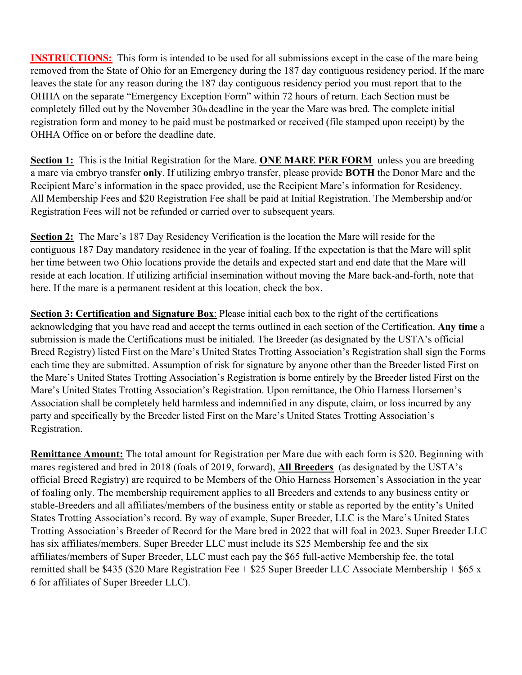**INSTRUCTIONS:** This form is intended to be used for all submissions except in the case of the mare being removed from the State of Ohio for an Emergency during the 187 day contiguous residency period. If the mare leaves the state for any reason during the 187 day contiguous residency period you must report that to the OHHA on the separate "Emergency Exception Form" within 72 hours of return. Each Section must be completely filled out by the November 30th deadline in the year the Mare was bred. The complete initial registration form and money to be paid must be postmarked or received (file stamped upon receipt) by the OHHA Office on or before the deadline date.

**Section 1:** This is the Initial Registration for the Mare. **ONE MARE PER FORM** unless you are breeding a mare via embryo transfer **only**. If utilizing embryo transfer, please provide **BOTH** the Donor Mare and the Recipient Mare's information in the space provided, use the Recipient Mare's information for Residency. All Membership Fees and \$20 Registration Fee shall be paid at Initial Registration. The Membership and/or Registration Fees will not be refunded or carried over to subsequent years.

**Section 2:** The Mare's 187 Day Residency Verification is the location the Mare will reside for the contiguous 187 Day mandatory residence in the year of foaling. If the expectation is that the Mare will split her time between two Ohio locations provide the details and expected start and end date that the Mare will reside at each location. If utilizing artificial insemination without moving the Mare back-and-forth, note that here. If the mare is a permanent resident at this location, check the box.

**Section 3: Certification and Signature Box**: Please initial each box to the right of the certifications acknowledging that you have read and accept the terms outlined in each section of the Certification. **Any time** a submission is made the Certifications must be initialed. The Breeder (as designated by the USTA's official Breed Registry) listed First on the Mare's United States Trotting Association's Registration shall sign the Forms each time they are submitted. Assumption of risk for signature by anyone other than the Breeder listed First on the Mare's United States Trotting Association's Registration is borne entirely by the Breeder listed First on the Mare's United States Trotting Association's Registration. Upon remittance, the Ohio Harness Horsemen's Association shall be completely held harmless and indemnified in any dispute, claim, or loss incurred by any party and specifically by the Breeder listed First on the Mare's United States Trotting Association's Registration.

**Remittance Amount:** The total amount for Registration per Mare due with each form is \$20. Beginning with mares registered and bred in 2018 (foals of 2019, forward), **All Breeders** (as designated by the USTA's official Breed Registry) are required to be Members of the Ohio Harness Horsemen's Association in the year of foaling only. The membership requirement applies to all Breeders and extends to any business entity or stable-Breeders and all affiliates/members of the business entity or stable as reported by the entity's United States Trotting Association's record. By way of example, Super Breeder, LLC is the Mare's United States Trotting Association's Breeder of Record for the Mare bred in 2022 that will foal in 2023. Super Breeder LLC has six affiliates/members. Super Breeder LLC must include its \$25 Membership fee and the six affiliates/members of Super Breeder, LLC must each pay the \$65 full-active Membership fee, the total remitted shall be \$435 (\$20 Mare Registration Fee + \$25 Super Breeder LLC Associate Membership + \$65 x 6 for affiliates of Super Breeder LLC).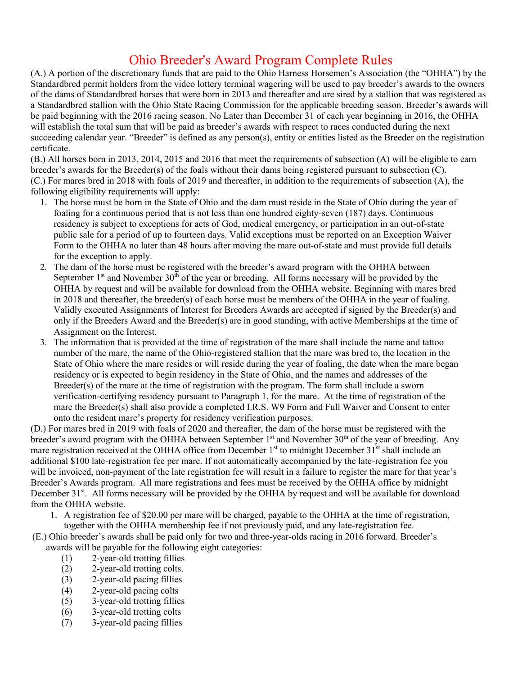## Ohio Breeder's Award Program Complete Rules

(A.) A portion of the discretionary funds that are paid to the Ohio Harness Horsemen's Association (the "OHHA") by the Standardbred permit holders from the video lottery terminal wagering will be used to pay breeder's awards to the owners of the dams of Standardbred horses that were born in 2013 and thereafter and are sired by a stallion that was registered as a Standardbred stallion with the Ohio State Racing Commission for the applicable breeding season. Breeder's awards will be paid beginning with the 2016 racing season. No Later than December 31 of each year beginning in 2016, the OHHA will establish the total sum that will be paid as breeder's awards with respect to races conducted during the next succeeding calendar year. "Breeder" is defined as any person(s), entity or entities listed as the Breeder on the registration certificate.

(B.) All horses born in 2013, 2014, 2015 and 2016 that meet the requirements of subsection (A) will be eligible to earn breeder's awards for the Breeder(s) of the foals without their dams being registered pursuant to subsection (C). (C.) For mares bred in 2018 with foals of 2019 and thereafter, in addition to the requirements of subsection (A), the following eligibility requirements will apply:

- 1. The horse must be born in the State of Ohio and the dam must reside in the State of Ohio during the year of foaling for a continuous period that is not less than one hundred eighty-seven (187) days. Continuous residency is subject to exceptions for acts of God, medical emergency, or participation in an out-of-state public sale for a period of up to fourteen days. Valid exceptions must be reported on an Exception Waiver Form to the OHHA no later than 48 hours after moving the mare out-of-state and must provide full details for the exception to apply.
- 2. The dam of the horse must be registered with the breeder's award program with the OHHA between September  $1<sup>st</sup>$  and November  $30<sup>th</sup>$  of the year or breeding. All forms necessary will be provided by the OHHA by request and will be available for download from the OHHA website. Beginning with mares bred in 2018 and thereafter, the breeder(s) of each horse must be members of the OHHA in the year of foaling. Validly executed Assignments of Interest for Breeders Awards are accepted if signed by the Breeder(s) and only if the Breeders Award and the Breeder(s) are in good standing, with active Memberships at the time of Assignment on the Interest.
- 3. The information that is provided at the time of registration of the mare shall include the name and tattoo number of the mare, the name of the Ohio-registered stallion that the mare was bred to, the location in the State of Ohio where the mare resides or will reside during the year of foaling, the date when the mare began residency or is expected to begin residency in the State of Ohio, and the names and addresses of the Breeder(s) of the mare at the time of registration with the program. The form shall include a sworn verification-certifying residency pursuant to Paragraph 1, for the mare. At the time of registration of the mare the Breeder(s) shall also provide a completed I.R.S. W9 Form and Full Waiver and Consent to enter onto the resident mare's property for residency verification purposes.

(D.) For mares bred in 2019 with foals of 2020 and thereafter, the dam of the horse must be registered with the breeder's award program with the OHHA between September 1<sup>st</sup> and November 30<sup>th</sup> of the year of breeding. Any mare registration received at the OHHA office from December 1<sup>st</sup> to midnight December 31<sup>st</sup> shall include an additional \$100 late-registration fee per mare. If not automatically accompanied by the late-registration fee you will be invoiced, non-payment of the late registration fee will result in a failure to register the mare for that year's Breeder's Awards program. All mare registrations and fees must be received by the OHHA office by midnight December 31<sup>st</sup>. All forms necessary will be provided by the OHHA by request and will be available for download from the OHHA website.

1. A registration fee of \$20.00 per mare will be charged, payable to the OHHA at the time of registration,

together with the OHHA membership fee if not previously paid, and any late-registration fee.

(E.) Ohio breeder's awards shall be paid only for two and three-year-olds racing in 2016 forward. Breeder's awards will be payable for the following eight categories:

- (1) 2-year-old trotting fillies
- (2) 2-year-old trotting colts.
- (3) 2-year-old pacing fillies
- (4) 2-year-old pacing colts
- (5) 3-year-old trotting fillies
- (6) 3-year-old trotting colts
- (7) 3-year-old pacing fillies